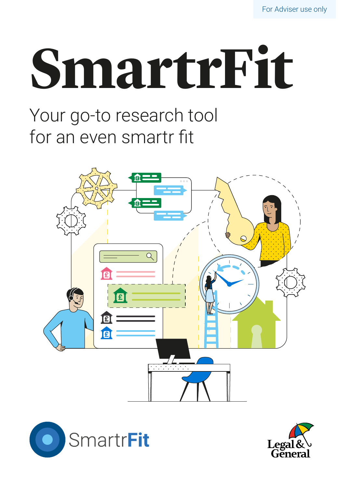# **SmartrFit**

Your go-to research tool for an even smartr fit





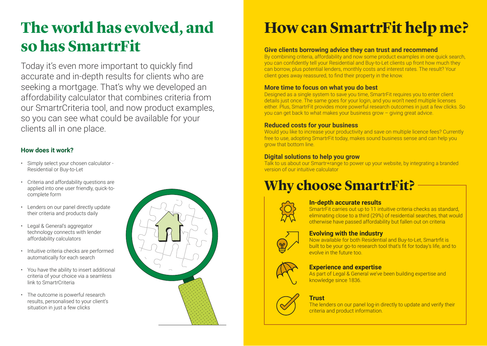## **The world has evolved, and so has SmartrFit**

Today it's even more important to quickly find accurate and in-depth results for clients who are seeking a mortgage. That's why we developed an affordability calculator that combines criteria from our SmartrCriteria tool, and now product examples, so you can see what could be available for your clients all in one place.

### **How does it work?**

- Simply select your chosen calculator Residential or Buy-to-Let
- Criteria and affordability questions are applied into one user friendly, quick-tocomplete form
- Lenders on our panel directly update their criteria and products daily
- Legal & General's aggregator technology connects with lender affordability calculators
- Intuitive criteria checks are performed automatically for each search
- You have the ability to insert additional criteria of your choice via a seamless link to SmartrCriteria
- The outcome is powerful research results, personalised to your client's situation in just a few clicks



### **How can SmartrFit help me?**

#### **Give clients borrowing advice they can trust and recommend**

By combining criteria, affordability and now some product examples in one quick search. you can confidently tell your Residential and Buy-to-Let clients up front how much they can borrow, plus potential lenders, monthly costs and interest rates. The result? Your client goes away reassured, to find their property in the know.

#### **More time to focus on what you do best**

Designed as a single system to save you time, SmartrFit requires you to enter client details just once. The same goes for your login, and you won't need multiple licenses either. Plus, SmartrFit provides more powerful research outcomes in just a few clicks. So you can get back to what makes your business grow – giving great advice.

#### **Reduced costs for your business**

Would you like to increase your productivity and save on multiple licence fees? Currently free to use, adopting SmartrFit today, makes sound business sense and can help you grow that bottom line.

### **Digital solutions to help you grow**

Talk to us about our Smartr+range to power up your website, by integrating a branded version of our intuitive calculator

### **Why choose SmartrFit?**



### **In-depth accurate results**

SmartrFit carries out up to 11 intuitive criteria checks as standard, eliminating close to a third (29%) of residential searches, that would otherwise have passed affordability but fallen out on criteria



### **Evolving with the industry**

Now available for both Residential and Buy-to-Let, Smartrfit is built to be your go-to research tool that's fit for today's life, and to evolve in the future too.



### **Experience and expertise**

As part of Legal & General we've been building expertise and knowledge since 1836.

### **Trust**

The lenders on our panel log-in directly to update and verify their criteria and product information.